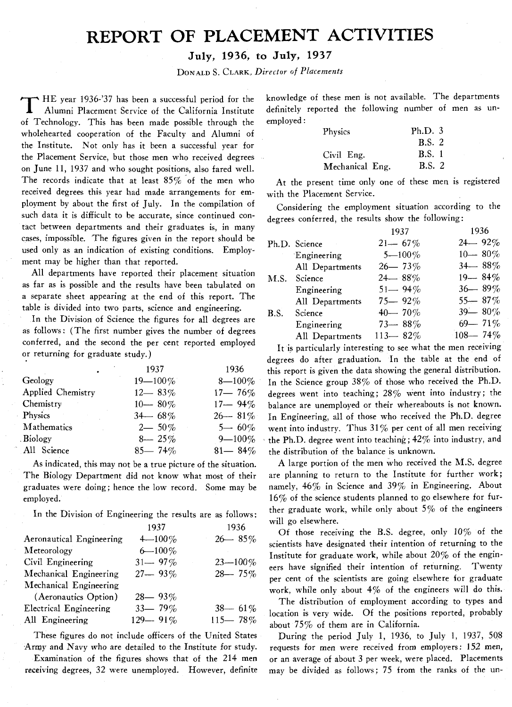# **REPORT OF PLACEMENT ACTIVITIES**

### **July? 1936, to July? 1937**

DONALD S. CLARK, *Director* of *Placements* 

T HE year 1936-'37 has been a successful period for the Alumni Placement Service of the California Institute of Technology. This has been made possible through the wholehearted cooperation of the Faculty and Alumni of the Institute. Not only has it been a successful year for the Placement Service, but those men who received degrees on June 11, 1937 and who sought positions, also fared well. The records indicate that at least 85% of the men who received degrees this year had made arrangements for employment by about the first of July. In the compilation of such data it is difficult to be accurate, since continued contact between departments and their graduates is, in many cases, impossible. The figures given in the report should be used only as an indication of existing conditions. Employment may be higher than that reported.

All departments have reported their placement situation as far as is possible and the results have been tabulated on a separate sheet appearing at the end of this report. The table is divided into two parts, science and engineering.

In the Division of Science the figures for all degrees are as follows: (The first number gives the number of degrees conferred, and the second the per cent reported employed or returning for graduate study.)

|                   | 1937         | 1936        |
|-------------------|--------------|-------------|
| Geology           | $19 - 100\%$ | $8 - 100\%$ |
| Applied Chemistry | $12 - 83\%$  | $17 - 76\%$ |
| Chemistry         | $10 - 80\%$  | $17 - 94\%$ |
| Physics           | $34 - 68\%$  | $26 - 81\%$ |
| Mathematics       | $2 - 50\%$   | $5 - 60\%$  |
| <b>Biology</b>    | $8 - 25\%$   | $9 - 100\%$ |
| All Science       | $85 - 74\%$  | $81 - 84\%$ |

As indicated, this may not be a true picture of the situation. The Biology Department did not know what most of their graduates were doing; hence the low record. Some may be employed.

In the Division of Engineering the results are as follows:

|                               | 1937        | 1936         |
|-------------------------------|-------------|--------------|
| Aeronautical Engineering      | $4 - 100\%$ | $26 - 85\%$  |
| Meteorology                   | $6 - 100\%$ |              |
| Civil Engineering             | $31 - 97\%$ | $23 - 100\%$ |
| Mechanical Engineering        | $27 - 93\%$ | $28 - 75%$   |
| Mechanical Engineering        |             |              |
| (Aeronautics Option)          | $28 - 93\%$ |              |
| <b>Electrical Engineering</b> | $33 - 79\%$ | $38 - 61\%$  |
| All Engineering               | 129-91%     | $115 - 78\%$ |
|                               |             |              |

These figures do not include officers of the United States Army and Navy who are detailed to the Institute for study.

Examination of the figures shows that of the 214 men receiving degrees, 32 were unemployed. However, definite knowledge of these men is not available. The departments definitely reported the following number of men as unemployed :

| Physics         | Ph.D.3        |
|-----------------|---------------|
|                 | <b>B.S. 2</b> |
| Civil Eng.      | <b>B.S.</b> 1 |
| Mechanical Eng. | <b>B.S. 2</b> |

At the present time only one of these men is registered with the Placement Service.

Considering the employment situation according to the degrees conferred, the results show the following:

|                 | 1937         | 1936         |
|-----------------|--------------|--------------|
| Ph.D. Science   | $21 - 67\%$  | $24 - 92\%$  |
| Engineering     | $5 - 100\%$  | $10 - 80\%$  |
| All Departments | $26 - 73%$   | $34 - 88\%$  |
| Science<br>M.S. | $24 - 88\%$  | $19 - 84\%$  |
| Engineering     | $51 - 94\%$  | $36 - 89\%$  |
| All Departments | $75 - 92\%$  | $55 - 87\%$  |
| Science         | $40 - 70\%$  | $39 - 80\%$  |
| Engineering     | $73 - 88\%$  | $69 - 71\%$  |
| All Departments | $113 - 82\%$ | $108 - 74\%$ |
|                 |              |              |

It is particularly interesting to see what the men receiving degrees do after graduation. In the table at the end of this report is given the data showing the general distribution. In the Science group 38% of those who received the Ph.D. degrees went into teaching;  $28\%$  went into industry; the balance are unemployed or their whereabouts is not known. In Engineering, all of those who received the Ph.D. degree went into industry. Thus  $31\%$  per cent of all men receiving the Ph.D. degree went into teaching; 42% into industry, and the distribution of the balance is unknown.

A large portion of the men who received the M.S. degree are planning to return to the Institute for further work; namely, 46% in Science and 39% in Engineering. About 16% of the science students planned to go elsewhere for further graduate work, while only about  $5\%$  of the engineers will go elsewhere.

Of those receiving the B.S. degree, only 10% of the scientists have designated their intention of returning to the Institute for graduate work, while about **20%** of the engineers have signified their intention of returning. Twenty per cent of the scientists are going elsewhere for graduate work, while only about 4% of the engineers will do this.

The distribution of employment according to types and location is very wide. Of the positions reported, probably about 75% of them are in California.

During the period July 1, 1936, to July 1, 1937, 508 requests for men were received from employers: 152 men, or an average of about **3** per week, were placed. Placements may be divided as follows; 75 from the ranks of the un-